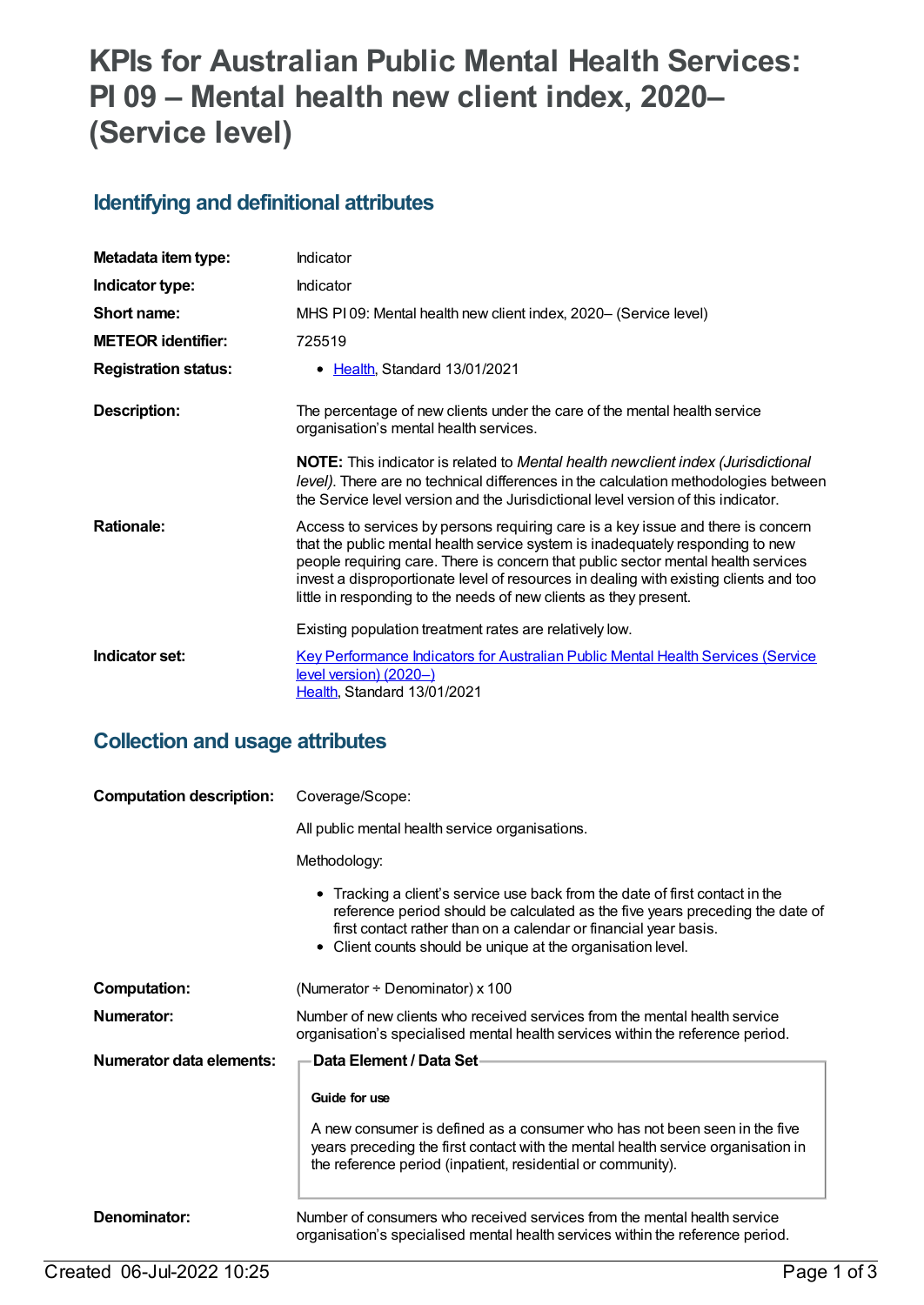# **KPIs for Australian Public Mental Health Services: PI 09 – Mental health new client index, 2020– (Service level)**

#### **Identifying and definitional attributes**

| Metadata item type:         | Indicator                                                                                                                                                                                                                                                                                                                                                                                                             |
|-----------------------------|-----------------------------------------------------------------------------------------------------------------------------------------------------------------------------------------------------------------------------------------------------------------------------------------------------------------------------------------------------------------------------------------------------------------------|
| Indicator type:             | <b>Indicator</b>                                                                                                                                                                                                                                                                                                                                                                                                      |
| Short name:                 | MHS PI09: Mental health new client index, 2020– (Service level)                                                                                                                                                                                                                                                                                                                                                       |
| <b>METEOR identifier:</b>   | 725519                                                                                                                                                                                                                                                                                                                                                                                                                |
| <b>Registration status:</b> | • Health, Standard 13/01/2021                                                                                                                                                                                                                                                                                                                                                                                         |
| Description:                | The percentage of new clients under the care of the mental health service<br>organisation's mental health services.                                                                                                                                                                                                                                                                                                   |
|                             | <b>NOTE:</b> This indicator is related to Mental health newclient index (Jurisdictional<br>level). There are no technical differences in the calculation methodologies between<br>the Service level version and the Jurisdictional level version of this indicator.                                                                                                                                                   |
| <b>Rationale:</b>           | Access to services by persons requiring care is a key issue and there is concern<br>that the public mental health service system is inadequately responding to new<br>people requiring care. There is concern that public sector mental health services<br>invest a disproportionate level of resources in dealing with existing clients and too<br>little in responding to the needs of new clients as they present. |
|                             | Existing population treatment rates are relatively low.                                                                                                                                                                                                                                                                                                                                                               |
| Indicator set:              | <b>Key Performance Indicators for Australian Public Mental Health Services (Service</b><br>level version) (2020-)<br>Health, Standard 13/01/2021                                                                                                                                                                                                                                                                      |

#### **Collection and usage attributes**

| <b>Computation description:</b> | Coverage/Scope:                                                                                                                                                                                                                                                                                  |  |
|---------------------------------|--------------------------------------------------------------------------------------------------------------------------------------------------------------------------------------------------------------------------------------------------------------------------------------------------|--|
|                                 | All public mental health service organisations.                                                                                                                                                                                                                                                  |  |
|                                 | Methodology:                                                                                                                                                                                                                                                                                     |  |
|                                 | • Tracking a client's service use back from the date of first contact in the<br>reference period should be calculated as the five years preceding the date of<br>first contact rather than on a calendar or financial year basis.<br>• Client counts should be unique at the organisation level. |  |
| <b>Computation:</b>             | (Numerator $\div$ Denominator) x 100                                                                                                                                                                                                                                                             |  |
| Numerator:                      | Number of new clients who received services from the mental health service<br>organisation's specialised mental health services within the reference period.                                                                                                                                     |  |
| Numerator data elements:        | <b>Data Element / Data Set-</b>                                                                                                                                                                                                                                                                  |  |
|                                 | Guide for use                                                                                                                                                                                                                                                                                    |  |
|                                 | A new consumer is defined as a consumer who has not been seen in the five<br>years preceding the first contact with the mental health service organisation in<br>the reference period (inpatient, residential or community).                                                                     |  |
| Denominator:                    | Number of consumers who received services from the mental health service<br>organisation's specialised mental health services within the reference period.                                                                                                                                       |  |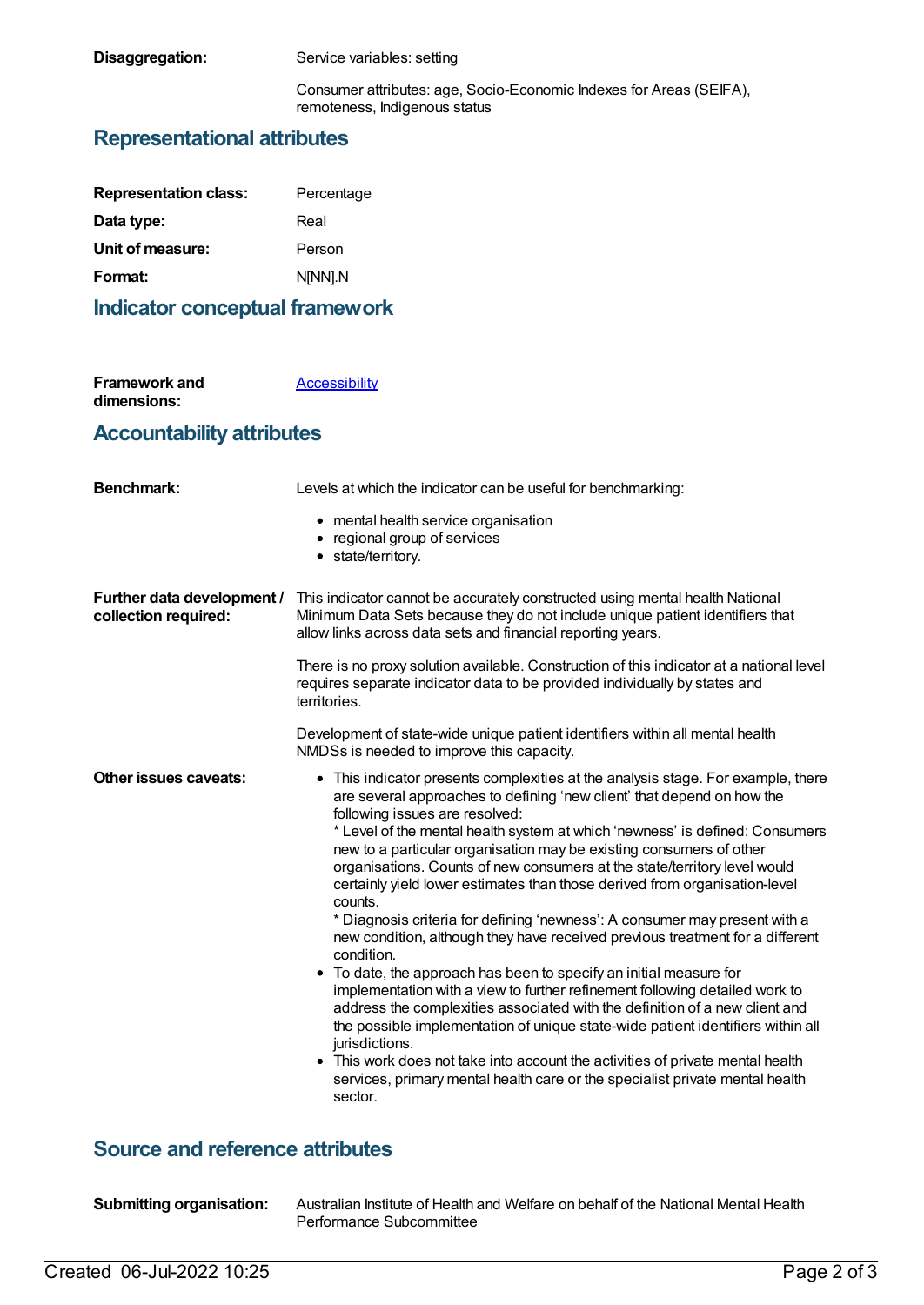**Disaggregation:** Service variables: setting

Consumer attributes: age, Socio-Economic Indexes for Areas (SEIFA), remoteness, Indigenous status

#### **Representational attributes**

| <b>Representation class:</b> | Percentage |
|------------------------------|------------|
| Data type:                   | Real       |
| Unit of measure:             | Person     |
| Format:                      | N[NN].N    |

#### **Indicator conceptual framework**

| <b>Framework and</b> | Accessibility |
|----------------------|---------------|
| dimensions:          |               |

#### **Accountability attributes**

| <b>Benchmark:</b>                                  | Levels at which the indicator can be useful for benchmarking:                                                                                                                                                                                                                                                                                                                                                                                                                                                                                                                                                                                                                                                                                                                                                                                                                                                                                                                                                                                                                                                                                                                                                                |
|----------------------------------------------------|------------------------------------------------------------------------------------------------------------------------------------------------------------------------------------------------------------------------------------------------------------------------------------------------------------------------------------------------------------------------------------------------------------------------------------------------------------------------------------------------------------------------------------------------------------------------------------------------------------------------------------------------------------------------------------------------------------------------------------------------------------------------------------------------------------------------------------------------------------------------------------------------------------------------------------------------------------------------------------------------------------------------------------------------------------------------------------------------------------------------------------------------------------------------------------------------------------------------------|
|                                                    | • mental health service organisation<br>• regional group of services<br>• state/territory.                                                                                                                                                                                                                                                                                                                                                                                                                                                                                                                                                                                                                                                                                                                                                                                                                                                                                                                                                                                                                                                                                                                                   |
| Further data development /<br>collection required: | This indicator cannot be accurately constructed using mental health National<br>Minimum Data Sets because they do not include unique patient identifiers that<br>allow links across data sets and financial reporting years.                                                                                                                                                                                                                                                                                                                                                                                                                                                                                                                                                                                                                                                                                                                                                                                                                                                                                                                                                                                                 |
|                                                    | There is no proxy solution available. Construction of this indicator at a national level<br>requires separate indicator data to be provided individually by states and<br>territories.                                                                                                                                                                                                                                                                                                                                                                                                                                                                                                                                                                                                                                                                                                                                                                                                                                                                                                                                                                                                                                       |
|                                                    | Development of state-wide unique patient identifiers within all mental health<br>NMDSs is needed to improve this capacity.                                                                                                                                                                                                                                                                                                                                                                                                                                                                                                                                                                                                                                                                                                                                                                                                                                                                                                                                                                                                                                                                                                   |
| Other issues caveats:                              | • This indicator presents complexities at the analysis stage. For example, there<br>are several approaches to defining 'new client' that depend on how the<br>following issues are resolved:<br>* Level of the mental health system at which 'newness' is defined: Consumers<br>new to a particular organisation may be existing consumers of other<br>organisations. Counts of new consumers at the state/territory level would<br>certainly yield lower estimates than those derived from organisation-level<br>counts.<br>* Diagnosis criteria for defining 'newness': A consumer may present with a<br>new condition, although they have received previous treatment for a different<br>condition.<br>• To date, the approach has been to specify an initial measure for<br>implementation with a view to further refinement following detailed work to<br>address the complexities associated with the definition of a new client and<br>the possible implementation of unique state-wide patient identifiers within all<br>jurisdictions.<br>• This work does not take into account the activities of private mental health<br>services, primary mental health care or the specialist private mental health<br>sector. |

### **Source and reference attributes**

| <b>Submitting organisation:</b> |
|---------------------------------|

**Submitting organisation:** Australian Institute of Health and Welfare on behalf of the National Mental Health Performance Subcommittee